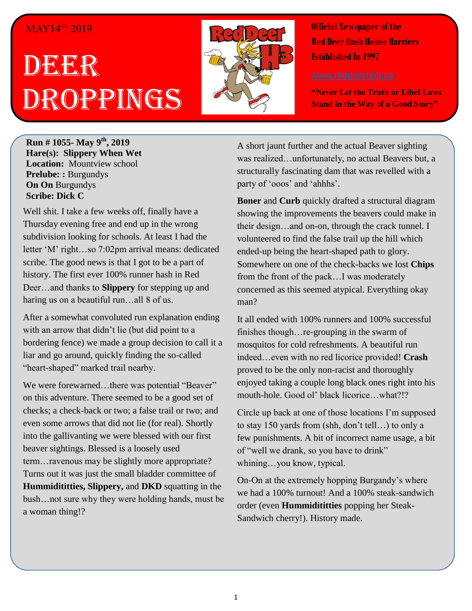## MAY14<sup>th,</sup> 2019

## DEGEGR Droppings



**Official Newspaper of the Red Deer Hash House Harriers Established In 1997** 

**"Never Let the Truth or Libel Laws Stand in the Way of a Good Story"**

**Run # 1055- May 9 th, 2019 Hare(s): Slippery When Wet Location:** Mountview school **Prelube: :** Burgundys **On On** Burgundys **Scribe: Dick C**

Well shit. I take a few weeks off, finally have a Thursday evening free and end up in the wrong subdivision looking for schools. At least I had the letter 'M' right…so 7:02pm arrival means: dedicated scribe. The good news is that I got to be a part of history. The first ever 100% runner hash in Red Deer…and thanks to **Slippery** for stepping up and haring us on a beautiful run...all 8 of us.

After a somewhat convoluted run explanation ending with an arrow that didn't lie (but did point to a bordering fence) we made a group decision to call it a liar and go around, quickly finding the so-called "heart-shaped" marked trail nearby.

We were forewarned...there was potential "Beaver" on this adventure. There seemed to be a good set of checks; a check-back or two; a false trail or two; and even some arrows that did not lie (for real). Shortly into the gallivanting we were blessed with our first beaver sightings. Blessed is a loosely used term…ravenous may be slightly more appropriate? Turns out it was just the small bladder committee of **Hummidititties, Slippery,** and **DKD** squatting in the bush…not sure why they were holding hands, must be a woman thing!?

A short jaunt further and the actual Beaver sighting was realized…unfortunately, no actual Beavers but, a structurally fascinating dam that was revelled with a party of 'ooos' and 'ahhhs'.

**Boner** and **Curb** quickly drafted a structural diagram showing the improvements the beavers could make in their design…and on-on, through the crack tunnel. I volunteered to find the false trail up the hill which ended-up being the heart-shaped path to glory. Somewhere on one of the check-backs we lost **Chips** from the front of the pack…I was moderately concerned as this seemed atypical. Everything okay man?

It all ended with 100% runners and 100% successful finishes though…re-grouping in the swarm of mosquitos for cold refreshments. A beautiful run indeed…even with no red licorice provided! **Crash**  proved to be the only non-racist and thoroughly enjoyed taking a couple long black ones right into his mouth-hole. Good ol' black licorice…what?!?

Circle up back at one of those locations I'm supposed to stay 150 yards from (shh, don't tell…) to only a few punishments. A bit of incorrect name usage, a bit of "well we drank, so you have to drink" whining…you know, typical.

On-On at the extremely hopping Burgandy's where we had a 100% turnout! And a 100% steak-sandwich order (even **Hummidititties** popping her Steak-Sandwich cherry!). History made.